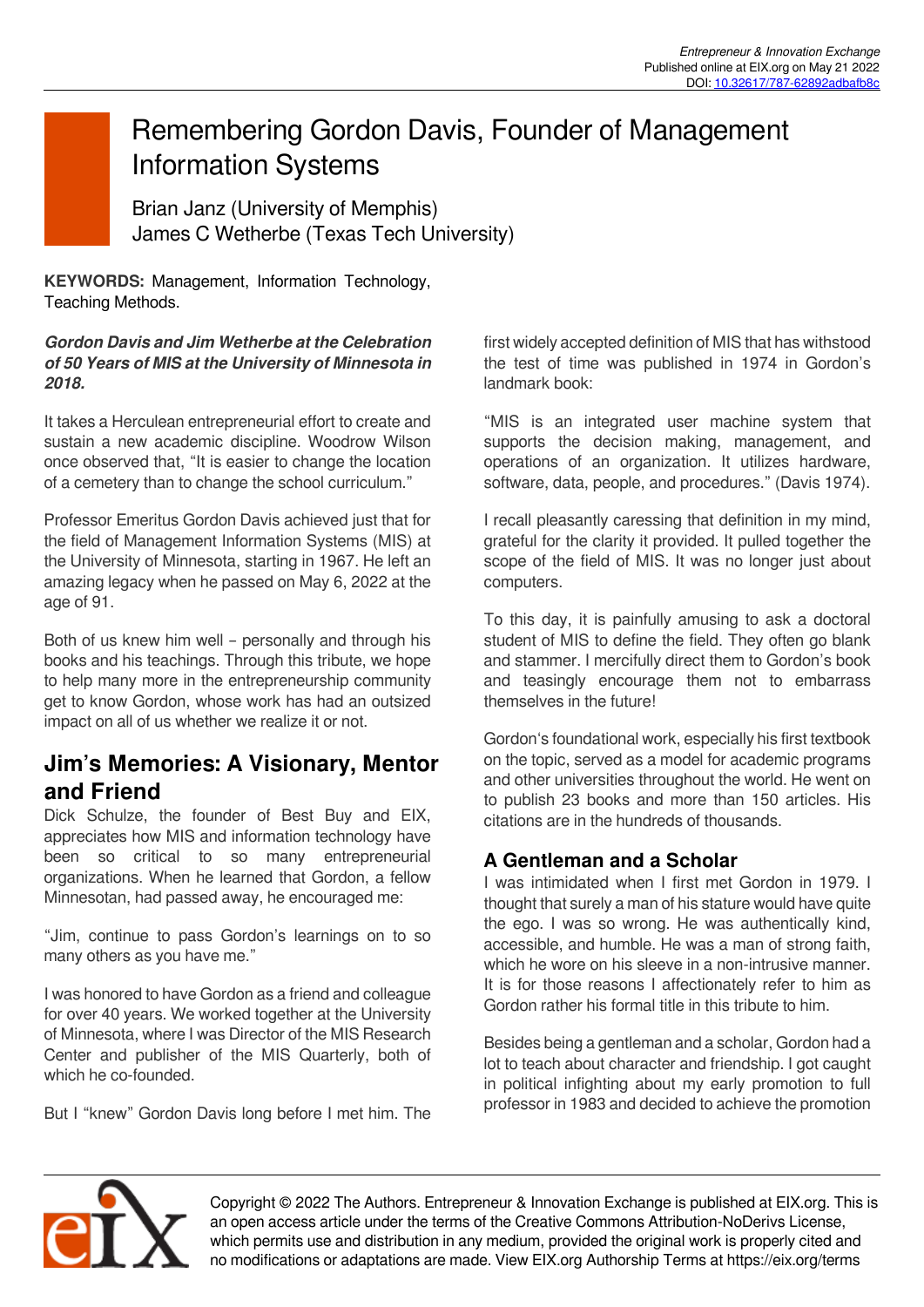# Remembering Gordon Davis, Founder of Management Information Systems

Brian Janz (University of Memphis) James C Wetherbe (Texas Tech University)

**KEYWORDS:** Management, Information Technology, Teaching Methods.

#### *Gordon Davis and Jim Wetherbe at the Celebration of 50 Years of MIS at the University of Minnesota in 2018.*

It takes a Herculean entrepreneurial effort to create and sustain a new academic discipline. Woodrow Wilson once observed that, "It is easier to change the location of a cemetery than to change the school curriculum."

Professor Emeritus Gordon Davis achieved just that for the field of Management Information Systems (MIS) at the University of Minnesota, starting in 1967. He left an amazing legacy when he passed on May 6, 2022 at the age of 91.

Both of us knew him well – personally and through his books and his teachings. Through this tribute, we hope to help many more in the entrepreneurship community get to know Gordon, whose work has had an outsized impact on all of us whether we realize it or not.

## **Jim's Memories: A Visionary, Mentor and Friend**

Dick Schulze, the founder of Best Buy and EIX, appreciates how MIS and information technology have been so critical to so many entrepreneurial organizations. When he learned that Gordon, a fellow Minnesotan, had passed away, he encouraged me:

"Jim, continue to pass Gordon's learnings on to so many others as you have me."

I was honored to have Gordon as a friend and colleague for over 40 years. We worked together at the University of Minnesota, where I was Director of the MIS Research Center and publisher of the MIS Quarterly, both of which he co-founded.

But I "knew" Gordon Davis long before I met him. The

first widely accepted definition of MIS that has withstood the test of time was published in 1974 in Gordon's landmark book:

"MIS is an integrated user machine system that supports the decision making, management, and operations of an organization. It utilizes hardware, software, data, people, and procedures." (Davis 1974).

I recall pleasantly caressing that definition in my mind, grateful for the clarity it provided. It pulled together the scope of the field of MIS. It was no longer just about computers.

To this day, it is painfully amusing to ask a doctoral student of MIS to define the field. They often go blank and stammer. I mercifully direct them to Gordon's book and teasingly encourage them not to embarrass themselves in the future!

Gordon's foundational work, especially his first textbook on the topic, served as a model for academic programs and other universities throughout the world. He went on to publish 23 books and more than 150 articles. His citations are in the hundreds of thousands.

## **A Gentleman and a Scholar**

I was intimidated when I first met Gordon in 1979. I thought that surely a man of his stature would have quite the ego. I was so wrong. He was authentically kind, accessible, and humble. He was a man of strong faith, which he wore on his sleeve in a non-intrusive manner. It is for those reasons I affectionately refer to him as Gordon rather his formal title in this tribute to him.

Besides being a gentleman and a scholar, Gordon had a lot to teach about character and friendship. I got caught in political infighting about my early promotion to full professor in 1983 and decided to achieve the promotion



Copyright © 2022 The Authors. Entrepreneur & Innovation Exchange is published at EIX.org. This is an open access article under the terms of the Creative Commons Attribution-NoDerivs License, which permits use and distribution in any medium, provided the original work is properly cited and no modifications or adaptations are made. View EIX.org Authorship Terms at https://eix.org/terms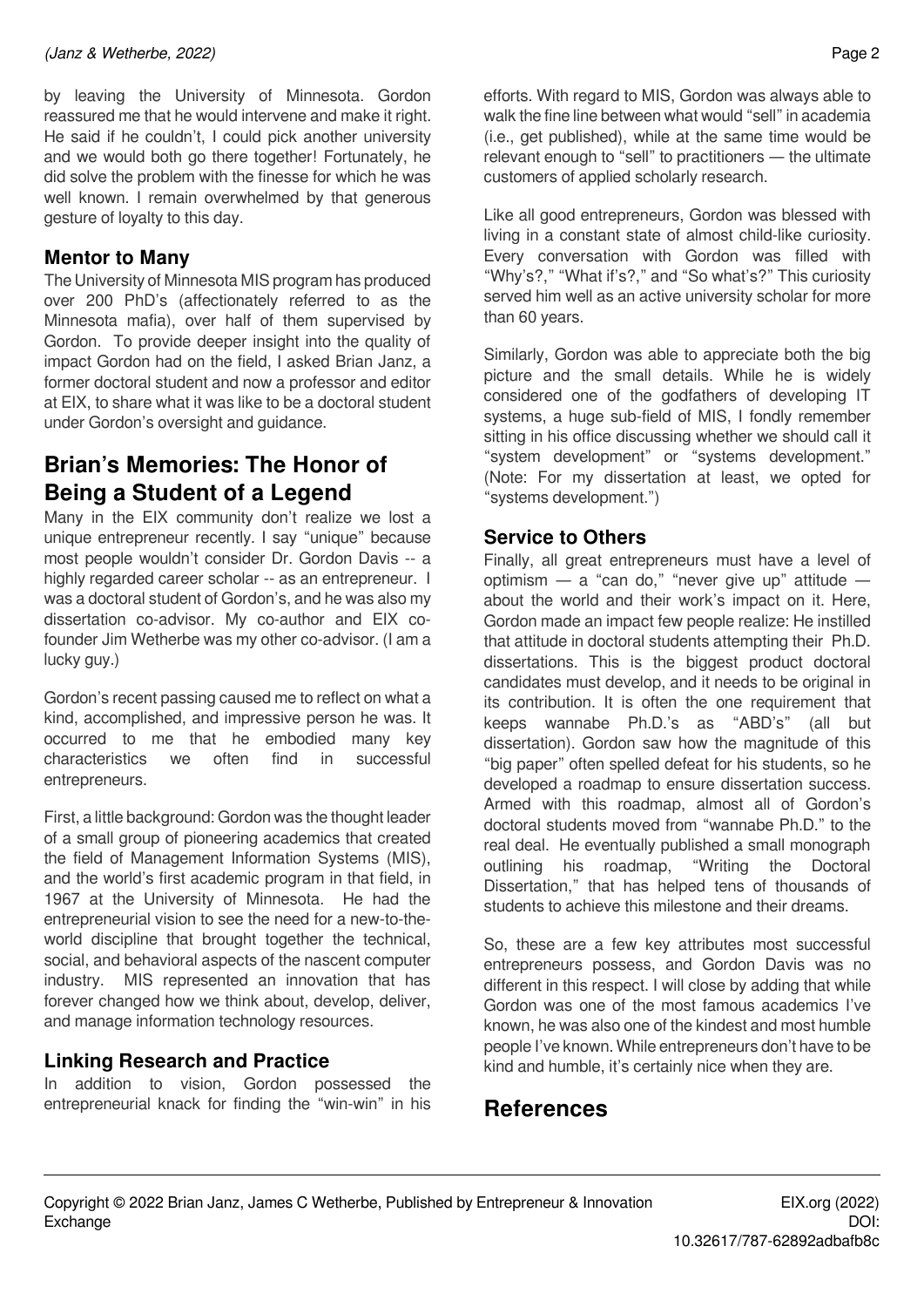#### *(Janz & Wetherbe, 2022)* Page 2

by leaving the University of Minnesota. Gordon reassured me that he would intervene and make it right. He said if he couldn't, I could pick another university and we would both go there together! Fortunately, he did solve the problem with the finesse for which he was well known. I remain overwhelmed by that generous gesture of loyalty to this day.

## **Mentor to Many**

The University of Minnesota MIS program has produced over 200 PhD's (affectionately referred to as the Minnesota mafia), over half of them supervised by Gordon. To provide deeper insight into the quality of impact Gordon had on the field, I asked Brian Janz, a former doctoral student and now a professor and editor at EIX, to share what it was like to be a doctoral student under Gordon's oversight and guidance.

# **Brian's Memories: The Honor of Being a Student of a Legend**

Many in the EIX community don't realize we lost a unique entrepreneur recently. I say "unique" because most people wouldn't consider Dr. Gordon Davis -- a highly regarded career scholar -- as an entrepreneur. I was a doctoral student of Gordon's, and he was also my dissertation co-advisor. My co-author and EIX cofounder Jim Wetherbe was my other co-advisor. (I am a lucky guy.)

Gordon's recent passing caused me to reflect on what a kind, accomplished, and impressive person he was. It occurred to me that he embodied many key characteristics we often find in successful entrepreneurs.

First, a little background: Gordon was the thought leader of a small group of pioneering academics that created the field of Management Information Systems (MIS), and the world's first academic program in that field, in 1967 at the University of Minnesota. He had the entrepreneurial vision to see the need for a new-to-theworld discipline that brought together the technical, social, and behavioral aspects of the nascent computer industry. MIS represented an innovation that has forever changed how we think about, develop, deliver, and manage information technology resources.

### **Linking Research and Practice**

In addition to vision, Gordon possessed the entrepreneurial knack for finding the "win-win" in his efforts. With regard to MIS, Gordon was always able to walk the fine line between what would "sell" in academia (i.e., get published), while at the same time would be relevant enough to "sell" to practitioners — the ultimate customers of applied scholarly research.

Like all good entrepreneurs, Gordon was blessed with living in a constant state of almost child-like curiosity. Every conversation with Gordon was filled with "Why's?," "What if's?," and "So what's?" This curiosity served him well as an active university scholar for more than 60 years.

Similarly, Gordon was able to appreciate both the big picture and the small details. While he is widely considered one of the godfathers of developing IT systems, a huge sub-field of MIS, I fondly remember sitting in his office discussing whether we should call it "system development" or "systems development." (Note: For my dissertation at least, we opted for "systems development.")

### **Service to Others**

Finally, all great entrepreneurs must have a level of optimism  $-$  a "can do," "never give up" attitude  $$ about the world and their work's impact on it. Here, Gordon made an impact few people realize: He instilled that attitude in doctoral students attempting their Ph.D. dissertations. This is the biggest product doctoral candidates must develop, and it needs to be original in its contribution. It is often the one requirement that keeps wannabe Ph.D.'s as "ABD's" (all but dissertation). Gordon saw how the magnitude of this "big paper" often spelled defeat for his students, so he developed a roadmap to ensure dissertation success. Armed with this roadmap, almost all of Gordon's doctoral students moved from "wannabe Ph.D." to the real deal. He eventually published a small monograph outlining his roadmap, "Writing the Doctoral Dissertation," that has helped tens of thousands of students to achieve this milestone and their dreams.

So, these are a few key attributes most successful entrepreneurs possess, and Gordon Davis was no different in this respect. I will close by adding that while Gordon was one of the most famous academics I've known, he was also one of the kindest and most humble people I've known. While entrepreneurs don't have to be kind and humble, it's certainly nice when they are.

## **References**